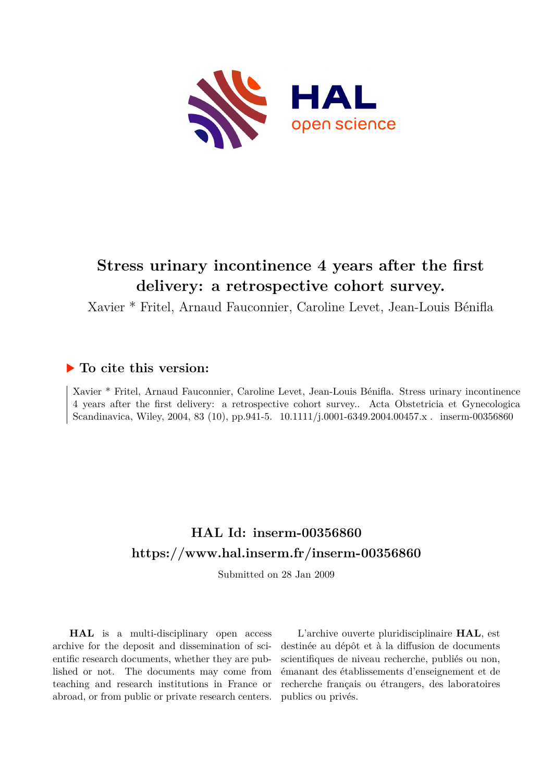

# **Stress urinary incontinence 4 years after the first delivery: a retrospective cohort survey.**

Xavier \* Fritel, Arnaud Fauconnier, Caroline Levet, Jean-Louis Bénifla

## **To cite this version:**

Xavier \* Fritel, Arnaud Fauconnier, Caroline Levet, Jean-Louis Bénifla. Stress urinary incontinence 4 years after the first delivery: a retrospective cohort survey.. Acta Obstetricia et Gynecologica Scandinavica, Wiley, 2004, 83 (10), pp.941-5.  $10.1111/j.0001-6349.2004.00457.x$ . inserm-00356860

# **HAL Id: inserm-00356860 <https://www.hal.inserm.fr/inserm-00356860>**

Submitted on 28 Jan 2009

**HAL** is a multi-disciplinary open access archive for the deposit and dissemination of scientific research documents, whether they are published or not. The documents may come from teaching and research institutions in France or abroad, or from public or private research centers.

L'archive ouverte pluridisciplinaire **HAL**, est destinée au dépôt et à la diffusion de documents scientifiques de niveau recherche, publiés ou non, émanant des établissements d'enseignement et de recherche français ou étrangers, des laboratoires publics ou privés.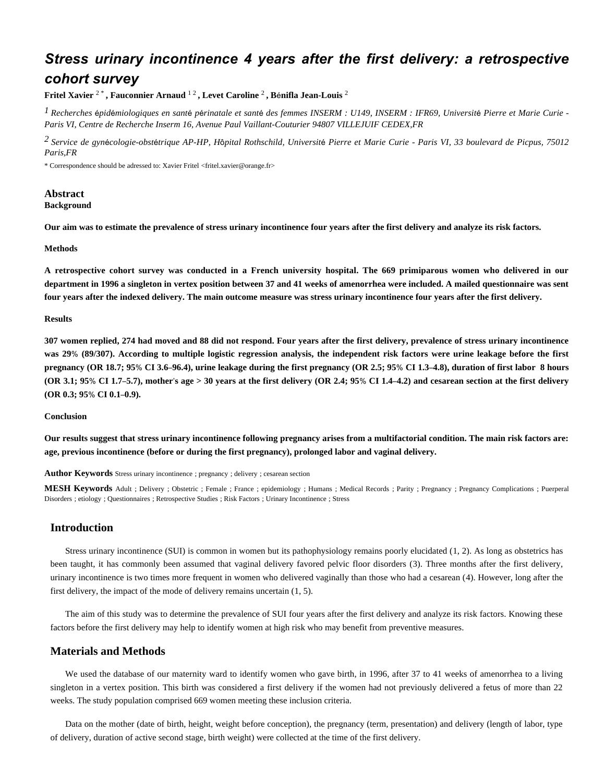## *Stress urinary incontinence 4 years after the first delivery: a retrospective cohort survey*

**Fritel Xavier** <sup>2</sup> \* **, Fauconnier Arnaud** <sup>1</sup> <sup>2</sup> **, Levet Caroline** <sup>2</sup> **, B**é**nifla Jean-Louis** <sup>2</sup>

<sup>1</sup> Recherches épidémiologiques en santé périnatale et santé des femmes INSERM : U149, INSERM : IFR69, Université Pierre et Marie Curie -*Paris VI, Centre de Recherche Inserm 16, Avenue Paul Vaillant-Couturier 94807 VILLEJUIF CEDEX,FR*

*Service de gyn cologie-obst trique 2* <sup>é</sup> <sup>é</sup> *AP-HP, H*ô*pital Rothschild, Universit*é *Pierre et Marie Curie - Paris VI, 33 boulevard de Picpus, 75012 Paris,FR*

\* Correspondence should be adressed to: Xavier Fritel <fritel.xavier@orange.fr>

#### **Abstract Background**

**Our aim was to estimate the prevalence of stress urinary incontinence four years after the first delivery and analyze its risk factors.**

#### **Methods**

**A retrospective cohort survey was conducted in a French university hospital. The 669 primiparous women who delivered in our department in 1996 a singleton in vertex position between 37 and 41 weeks of amenorrhea were included. A mailed questionnaire was sent four years after the indexed delivery. The main outcome measure was stress urinary incontinence four years after the first delivery.**

#### **Results**

**307 women replied, 274 had moved and 88 did not respond. Four years after the first delivery, prevalence of stress urinary incontinence was 29**% **(89/307). According to multiple logistic regression analysis, the independent risk factors were urine leakage before the first pregnancy (OR 18.7; 95**% **CI 3.6**–**96.4), urine leakage during the first pregnancy (OR 2.5; 95**% **CI 1.3**–**4.8), duration of first labor 8 hours (OR 3.1; 95**% **CI 1.7**–**5.7), mother**'**s age > 30 years at the first delivery (OR 2.4; 95**% **CI 1.4**–**4.2) and cesarean section at the first delivery (OR 0.3; 95**% **CI 0.1**–**0.9).**

#### **Conclusion**

**Our results suggest that stress urinary incontinence following pregnancy arises from a multifactorial condition. The main risk factors are: age, previous incontinence (before or during the first pregnancy), prolonged labor and vaginal delivery.**

**Author Keywords** Stress urinary incontinence ; pregnancy ; delivery ; cesarean section

**MESH Keywords** Adult ; Delivery ; Obstetric ; Female ; France ; epidemiology ; Humans ; Medical Records ; Parity ; Pregnancy ; Pregnancy Complications ; Puerperal Disorders ; etiology ; Questionnaires ; Retrospective Studies ; Risk Factors ; Urinary Incontinence ; Stress

### **Introduction**

Stress urinary incontinence (SUI) is common in women but its pathophysiology remains poorly elucidated (1, 2). As long as obstetrics has been taught, it has commonly been assumed that vaginal delivery favored pelvic floor disorders (3). Three months after the first delivery, urinary incontinence is two times more frequent in women who delivered vaginally than those who had a cesarean (4). However, long after the first delivery, the impact of the mode of delivery remains uncertain (1, 5).

The aim of this study was to determine the prevalence of SUI four years after the first delivery and analyze its risk factors. Knowing these factors before the first delivery may help to identify women at high risk who may benefit from preventive measures.

## **Materials and Methods**

We used the database of our maternity ward to identify women who gave birth, in 1996, after 37 to 41 weeks of amenorrhea to a living singleton in a vertex position. This birth was considered a first delivery if the women had not previously delivered a fetus of more than 22 weeks. The study population comprised 669 women meeting these inclusion criteria.

Data on the mother (date of birth, height, weight before conception), the pregnancy (term, presentation) and delivery (length of labor, type of delivery, duration of active second stage, birth weight) were collected at the time of the first delivery.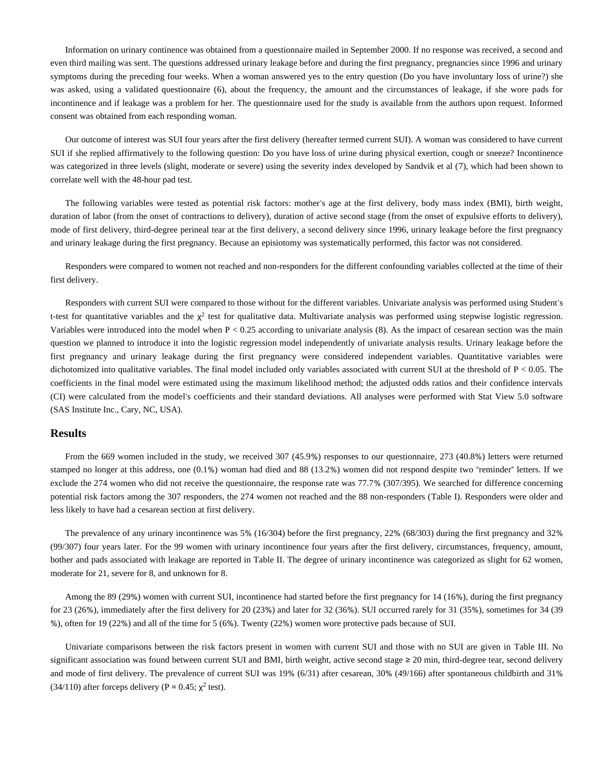Information on urinary continence was obtained from a questionnaire mailed in September 2000. If no response was received, a second and even third mailing was sent. The questions addressed urinary leakage before and during the first pregnancy, pregnancies since 1996 and urinary symptoms during the preceding four weeks. When a woman answered yes to the entry question (Do you have involuntary loss of urine?) she was asked, using a validated questionnaire (6), about the frequency, the amount and the circumstances of leakage, if she wore pads for incontinence and if leakage was a problem for her. The questionnaire used for the study is available from the authors upon request. Informed consent was obtained from each responding woman.

Our outcome of interest was SUI four years after the first delivery (hereafter termed current SUI). A woman was considered to have current SUI if she replied affirmatively to the following question: Do you have loss of urine during physical exertion, cough or sneeze? Incontinence was categorized in three levels (slight, moderate or severe) using the severity index developed by Sandvik et al (7), which had been shown to correlate well with the 48-hour pad test.

The following variables were tested as potential risk factors: mother's age at the first delivery, body mass index (BMI), birth weight, duration of labor (from the onset of contractions to delivery), duration of active second stage (from the onset of expulsive efforts to delivery), mode of first delivery, third-degree perineal tear at the first delivery, a second delivery since 1996, urinary leakage before the first pregnancy and urinary leakage during the first pregnancy. Because an episiotomy was systematically performed, this factor was not considered.

Responders were compared to women not reached and non-responders for the different confounding variables collected at the time of their first delivery.

Responders with current SUI were compared to those without for the different variables. Univariate analysis was performed using Student's t-test for quantitative variables and the  $\chi^2$  test for qualitative data. Multivariate analysis was performed using stepwise logistic regression. Variables were introduced into the model when  $P < 0.25$  according to univariate analysis  $(8)$ . As the impact of cesarean section was the main question we planned to introduce it into the logistic regression model independently of univariate analysis results. Urinary leakage before the first pregnancy and urinary leakage during the first pregnancy were considered independent variables. Quantitative variables were dichotomized into qualitative variables. The final model included only variables associated with current SUI at the threshold of  $P < 0.05$ . The coefficients in the final model were estimated using the maximum likelihood method; the adjusted odds ratios and their confidence intervals (CI) were calculated from the model's coefficients and their standard deviations. All analyses were performed with Stat View 5.0 software (SAS Institute Inc., Cary, NC, USA).

#### **Results**

From the 669 women included in the study, we received 307 (45.9%) responses to our questionnaire, 273 (40.8%) letters were returned stamped no longer at this address, one (0.1%) woman had died and 88 (13.2%) women did not respond despite two "reminder" letters. If we exclude the 274 women who did not receive the questionnaire, the response rate was 77.7% (307/395). We searched for difference concerning potential risk factors among the 307 responders, the 274 women not reached and the 88 non-responders (Table I). Responders were older and less likely to have had a cesarean section at first delivery.

The prevalence of any urinary incontinence was 5% (16/304) before the first pregnancy, 22% (68/303) during the first pregnancy and 32% (99/307) four years later. For the 99 women with urinary incontinence four years after the first delivery, circumstances, frequency, amount, bother and pads associated with leakage are reported in Table II. The degree of urinary incontinence was categorized as slight for 62 women, moderate for 21, severe for 8, and unknown for 8.

Among the 89 (29%) women with current SUI, incontinence had started before the first pregnancy for 14 (16%), during the first pregnancy for 23 (26%), immediately after the first delivery for 20 (23%) and later for 32 (36%). SUI occurred rarely for 31 (35%), sometimes for 34 (39 %), often for 19 (22%) and all of the time for 5 (6%). Twenty (22%) women wore protective pads because of SUI.

Univariate comparisons between the risk factors present in women with current SUI and those with no SUI are given in Table III. No significant association was found between current SUI and BMI, birth weight, active second stage ≥ 20 min, third-degree tear, second delivery and mode of first delivery. The prevalence of current SUI was 19% (6/31) after cesarean, 30% (49/166) after spontaneous childbirth and 31% (34/110) after forceps delivery (P = 0.45;  $\chi^2$  test).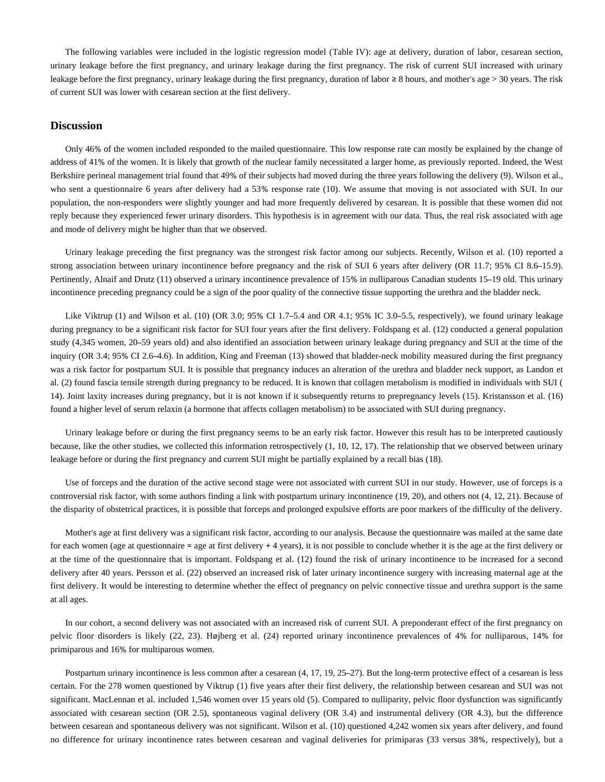The following variables were included in the logistic regression model (Table IV): age at delivery, duration of labor, cesarean section, urinary leakage before the first pregnancy, and urinary leakage during the first pregnancy. The risk of current SUI increased with urinary leakage before the first pregnancy, urinary leakage during the first pregnancy, duration of labor ≥ 8 hours, and mother's age > 30 years. The risk of current SUI was lower with cesarean section at the first delivery.

### **Discussion**

Only 46% of the women included responded to the mailed questionnaire. This low response rate can mostly be explained by the change of address of 41% of the women. It is likely that growth of the nuclear family necessitated a larger home, as previously reported. Indeed, the West Berkshire perineal management trial found that 49% of their subjects had moved during the three years following the delivery (9). Wilson et al., who sent a questionnaire 6 years after delivery had a 53% response rate (10). We assume that moving is not associated with SUI. In our population, the non-responders were slightly younger and had more frequently delivered by cesarean. It is possible that these women did not reply because they experienced fewer urinary disorders. This hypothesis is in agreement with our data. Thus, the real risk associated with age and mode of delivery might be higher than that we observed.

Urinary leakage preceding the first pregnancy was the strongest risk factor among our subjects. Recently, Wilson et al. (10) reported a strong association between urinary incontinence before pregnancy and the risk of SUI 6 years after delivery (OR 11.7; 95% CI 8.6–15.9). Pertinently, Alnaif and Drutz (11) observed a urinary incontinence prevalence of 15% in nulliparous Canadian students 15–19 old. This urinary incontinence preceding pregnancy could be a sign of the poor quality of the connective tissue supporting the urethra and the bladder neck.

Like Viktrup (1) and Wilson et al. (10) (OR 3.0; 95% CI 1.7–5.4 and OR 4.1; 95% IC 3.0–5.5, respectively), we found urinary leakage during pregnancy to be a significant risk factor for SUI four years after the first delivery. Foldspang et al. (12) conducted a general population study (4,345 women, 20–59 years old) and also identified an association between urinary leakage during pregnancy and SUI at the time of the inquiry (OR 3.4; 95% CI 2.6–4.6). In addition, King and Freeman (13) showed that bladder-neck mobility measured during the first pregnancy was a risk factor for postpartum SUI. It is possible that pregnancy induces an alteration of the urethra and bladder neck support, as Landon et al. (2) found fascia tensile strength during pregnancy to be reduced. It is known that collagen metabolism is modified in individuals with SUI ( 14). Joint laxity increases during pregnancy, but it is not known if it subsequently returns to prepregnancy levels (15). Kristansson et al. (16) found a higher level of serum relaxin (a hormone that affects collagen metabolism) to be associated with SUI during pregnancy.

Urinary leakage before or during the first pregnancy seems to be an early risk factor. However this result has to be interpreted cautiously because, like the other studies, we collected this information retrospectively (1, 10, 12, 17). The relationship that we observed between urinary leakage before or during the first pregnancy and current SUI might be partially explained by a recall bias (18).

Use of forceps and the duration of the active second stage were not associated with current SUI in our study. However, use of forceps is a controversial risk factor, with some authors finding a link with postpartum urinary incontinence (19, 20), and others not (4, 12, 21). Because of the disparity of obstetrical practices, it is possible that forceps and prolonged expulsive efforts are poor markers of the difficulty of the delivery.

Mother's age at first delivery was a significant risk factor, according to our analysis. Because the questionnaire was mailed at the same date for each women (age at questionnaire = age at first delivery  $+4$  years), it is not possible to conclude whether it is the age at the first delivery or at the time of the questionnaire that is important. Foldspang et al. (12) found the risk of urinary incontinence to be increased for a second delivery after 40 years. Persson et al. (22) observed an increased risk of later urinary incontinence surgery with increasing maternal age at the first delivery. It would be interesting to determine whether the effect of pregnancy on pelvic connective tissue and urethra support is the same at all ages.

In our cohort, a second delivery was not associated with an increased risk of current SUI. A preponderant effect of the first pregnancy on pelvic floor disorders is likely (22, 23). Højberg et al. (24) reported urinary incontinence prevalences of 4% for nulliparous, 14% for primiparous and 16% for multiparous women.

Postpartum urinary incontinence is less common after a cesarean (4, 17, 19, 25–27). But the long-term protective effect of a cesarean is less certain. For the 278 women questioned by Viktrup (1) five years after their first delivery, the relationship between cesarean and SUI was not significant. MacLennan et al. included 1,546 women over 15 years old (5). Compared to nulliparity, pelvic floor dysfunction was significantly associated with cesarean section (OR 2.5), spontaneous vaginal delivery (OR 3.4) and instrumental delivery (OR 4.3), but the difference between cesarean and spontaneous delivery was not significant. Wilson et al. (10) questioned 4,242 women six years after delivery, and found no difference for urinary incontinence rates between cesarean and vaginal deliveries for primiparas (33 versus 38%, respectively), but a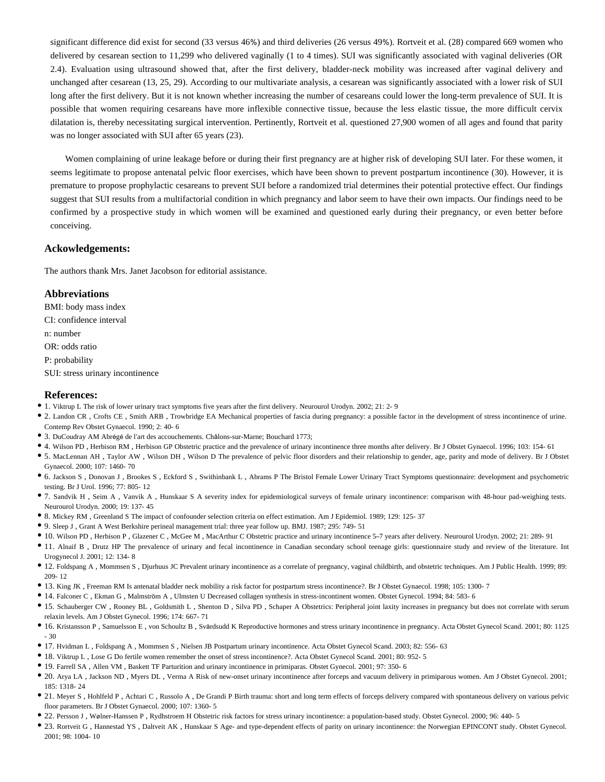significant difference did exist for second (33 versus 46%) and third deliveries (26 versus 49%). Rortveit et al. (28) compared 669 women who delivered by cesarean section to 11,299 who delivered vaginally (1 to 4 times). SUI was significantly associated with vaginal deliveries (OR 2.4). Evaluation using ultrasound showed that, after the first delivery, bladder-neck mobility was increased after vaginal delivery and unchanged after cesarean (13, 25, 29). According to our multivariate analysis, a cesarean was significantly associated with a lower risk of SUI long after the first delivery. But it is not known whether increasing the number of cesareans could lower the long-term prevalence of SUI. It is possible that women requiring cesareans have more inflexible connective tissue, because the less elastic tissue, the more difficult cervix dilatation is, thereby necessitating surgical intervention. Pertinently, Rortveit et al. questioned 27,900 women of all ages and found that parity was no longer associated with SUI after 65 years (23).

Women complaining of urine leakage before or during their first pregnancy are at higher risk of developing SUI later. For these women, it seems legitimate to propose antenatal pelvic floor exercises, which have been shown to prevent postpartum incontinence (30). However, it is premature to propose prophylactic cesareans to prevent SUI before a randomized trial determines their potential protective effect. Our findings suggest that SUI results from a multifactorial condition in which pregnancy and labor seem to have their own impacts. Our findings need to be confirmed by a prospective study in which women will be examined and questioned early during their pregnancy, or even better before conceiving.

#### **Ackowledgements:**

The authors thank Mrs. Janet Jacobson for editorial assistance.

#### **Abbreviations**

BMI: body mass index CI: confidence interval n: number

OR: odds ratio

P: probability

SUI: stress urinary incontinence

#### **References:**

- 1. Viktrup L The risk of lower urinary tract symptoms five years after the first delivery. Neurourol Urodyn. 2002; 21: 2- 9
- 2. Landon CR , Crofts CE , Smith ARB , Trowbridge EA Mechanical properties of fascia during pregnancy: a possible factor in the development of stress incontinence of urine.
- Contemp Rev Obstet Gynaecol. 1990; 2: 40- 6
- 3. DuCoudray AM Abrégé de l'art des accouchements. Châlons-sur-Marne; Bouchard 1773;
- 4. Wilson PD , Herbison RM , Herbison GP Obstetric practice and the prevalence of urinary incontinence three months after delivery. Br J Obstet Gynaecol. 1996; 103: 154- 61
- 5. MacLennan AH , Taylor AW , Wilson DH , Wilson D The prevalence of pelvic floor disorders and their relationship to gender, age, parity and mode of delivery. Br J Obstet Gynaecol. 2000; 107: 1460- 70
- 6. Jackson S , Donovan J , Brookes S , Eckford S , Swithinbank L , Abrams P The Bristol Female Lower Urinary Tract Symptoms questionnaire: development and psychometric testing. Br J Urol. 1996; 77: 805- 12
- 7. Sandvik H , Seim A , Vanvik A , Hunskaar S A severity index for epidemiological surveys of female urinary incontinence: comparison with 48-hour pad-weighing tests. Neurourol Urodyn. 2000; 19: 137- 45
- 8. Mickey RM , Greenland S The impact of confounder selection criteria on effect estimation. Am J Epidemiol. 1989; 129: 125- 37
- 9. Sleep J , Grant A West Berkshire perineal management trial: three year follow up. BMJ. 1987; 295: 749- 51
- 10. Wilson PD , Herbison P , Glazener C , McGee M , MacArthur C Obstetric practice and urinary incontinence 5–7 years after delivery. Neurourol Urodyn. 2002; 21: 289- 91
- 11. Alnaif B , Drutz HP The prevalence of urinary and fecal incontinence in Canadian secondary school teenage girls: questionnaire study and review of the literature. Int Urogynecol J. 2001; 12: 134- 8
- 12. Foldspang A , Mommsen S , Djurhuus JC Prevalent urinary incontinence as a correlate of pregnancy, vaginal childbirth, and obstetric techniques. Am J Public Health. 1999; 89: 209- 12
- 13. King JK , Freeman RM Is antenatal bladder neck mobility a risk factor for postpartum stress incontinence?. Br J Obstet Gynaecol. 1998; 105: 1300- 7
- 14. Falconer C , Ekman G , Malmström A , Ulmsten U Decreased collagen synthesis in stress-incontinent women. Obstet Gynecol. 1994; 84: 583- 6
- 15. Schauberger CW , Rooney BL , Goldsmith L , Shenton D , Silva PD , Schaper A Obstetrics: Peripheral joint laxity increases in pregnancy but does not correlate with serum relaxin levels. Am J Obstet Gynecol. 1996; 174: 667- 71
- 16. Kristansson P , Samuelsson E , von Schoultz B , Svärdsudd K Reproductive hormones and stress urinary incontinence in pregnancy. Acta Obstet Gynecol Scand. 2001; 80: 1125 - 30
- 17. Hvidman L , Foldspang A , Mommsen S , Nielsen JB Postpartum urinary incontinence. Acta Obstet Gynecol Scand. 2003; 82: 556- 63
- 18. Viktrup L , Lose G Do fertile women remember the onset of stress incontinence?. Acta Obstet Gynecol Scand. 2001; 80: 952- 5
- 19. Farrell SA , Allen VM , Baskett TF Parturition and urinary incontinence in primiparas. Obstet Gynecol. 2001; 97: 350- 6
- 20. Arya LA , Jackson ND , Myers DL , Verma A Risk of new-onset urinary incontinence after forceps and vacuum delivery in primiparous women. Am J Obstet Gynecol. 2001; 185: 1318- 24
- 21. Meyer S , Hohlfeld P , Achtari C , Russolo A , De Grandi P Birth trauma: short and long term effects of forceps delivery compared with spontaneous delivery on various pelvic floor parameters. Br J Obstet Gynaecol. 2000; 107: 1360- 5
- 22. Persson J , Wølner-Hanssen P , Rydhstroem H Obstetric risk factors for stress urinary incontinence: a population-based study. Obstet Gynecol. 2000; 96: 440- 5
- 23. Rortveit G , Hannestad YS , Daltveit AK , Hunskaar S Age- and type-dependent effects of parity on urinary incontinence: the Norwegian EPINCONT study. Obstet Gynecol. 2001; 98: 1004- 10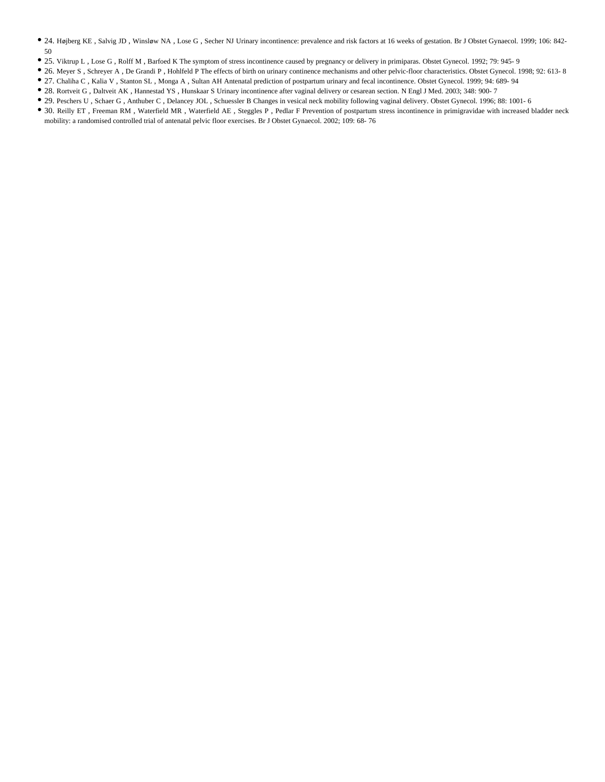- 24. Højberg KE , Salvig JD , Winsløw NA , Lose G , Secher NJ Urinary incontinence: prevalence and risk factors at 16 weeks of gestation. Br J Obstet Gynaecol. 1999; 106: 842- 50
- 25. Viktrup L , Lose G , Rolff M , Barfoed K The symptom of stress incontinence caused by pregnancy or delivery in primiparas. Obstet Gynecol. 1992; 79: 945- 9
- 26. Meyer S , Schreyer A , De Grandi P , Hohlfeld P The effects of birth on urinary continence mechanisms and other pelvic-floor characteristics. Obstet Gynecol. 1998; 92: 613- 8
- 27. Chaliha C , Kalia V , Stanton SL , Monga A , Sultan AH Antenatal prediction of postpartum urinary and fecal incontinence. Obstet Gynecol. 1999; 94: 689- 94
- 28. Rortveit G , Daltveit AK , Hannestad YS , Hunskaar S Urinary incontinence after vaginal delivery or cesarean section. N Engl J Med. 2003; 348: 900- 7
- 29. Peschers U , Schaer G , Anthuber C , Delancey JOL , Schuessler B Changes in vesical neck mobility following vaginal delivery. Obstet Gynecol. 1996; 88: 1001- 6
- 30. Reilly ET , Freeman RM , Waterfield MR , Waterfield AE , Steggles P , Pedlar F Prevention of postpartum stress incontinence in primigravidae with increased bladder neck mobility: a randomised controlled trial of antenatal pelvic floor exercises. Br J Obstet Gynaecol. 2002; 109: 68- 76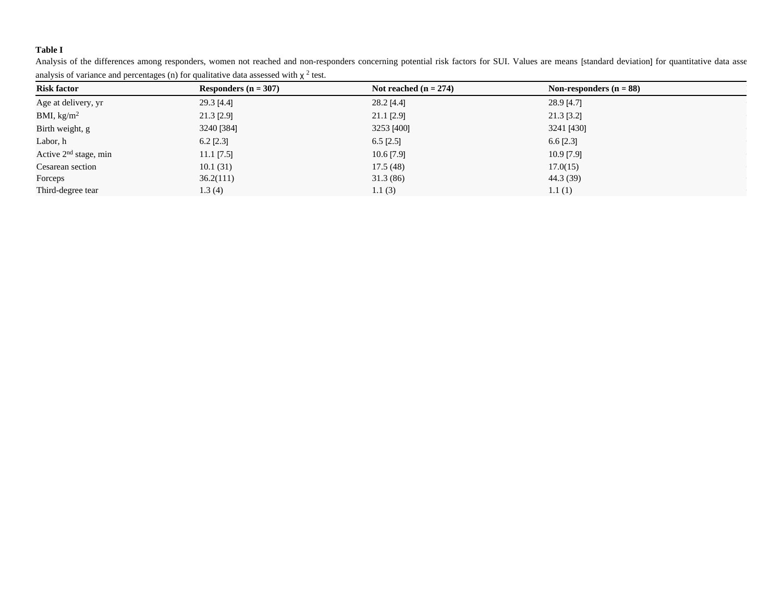## **Table I**

Analysis of the differences among responders, women not reached and non-responders concerning potential risk factors for SUI. Values are means [standard deviation] for quantitative data asse analysis of variance and percentages (n) for qualitative data assessed with  $\chi^2$  test.

| <b>Risk factor</b>      | Responders ( $n = 307$ ) | Not reached $(n = 274)$ | Non-responders $(n = 88)$ |  |
|-------------------------|--------------------------|-------------------------|---------------------------|--|
| Age at delivery, yr     | $29.3$ [4.4]             | 28.2 [4.4]              | 28.9 [4.7]                |  |
| BMI, $\text{kg/m}^2$    | 21.3 [2.9]               | 21.1 [2.9]              | $21.3$ [3.2]              |  |
| Birth weight, g         | 3240 [384]               | 3253 [400]              | 3241 [430]                |  |
| Labor, h                | $6.2$ [2.3]              | $6.5$ [2.5]             | $6.6$ [2.3]               |  |
| Active $2nd$ stage, min | $11.1$ [7.5]             | $10.6$ [7.9]            | 10.9 [7.9]                |  |
| Cesarean section        | 10.1(31)                 | 17.5(48)                | 17.0(15)                  |  |
| Forceps                 | 36.2(111)                | 31.3(86)                | 44.3 (39)                 |  |
| Third-degree tear       | 1.3(4)                   | 1.1(3)                  | 1.1(1)                    |  |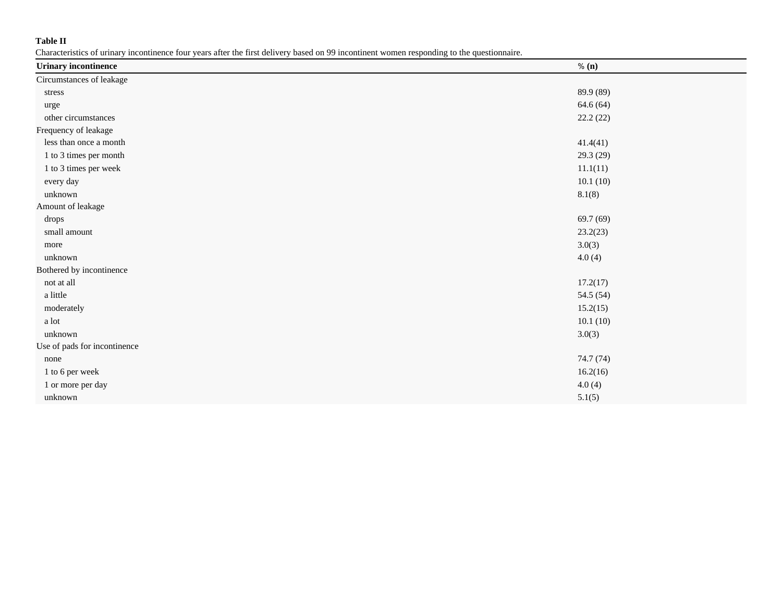## **Table II**

Characteristics of urinary incontinence four years after the first delivery based on 99 incontinent women responding to the questionnaire.

| <b>Urinary incontinence</b>    | % (n)     |
|--------------------------------|-----------|
| Circumstances of leakage       |           |
| stress                         | 89.9 (89) |
| urge                           | 64.6 (64) |
| other circumstances            | 22.2(22)  |
| Frequency of leakage           |           |
| less than once a month         | 41.4(41)  |
| 1 to 3 times per month         | 29.3 (29) |
| $1$ to $3$ times per week $\,$ | 11.1(11)  |
| every day                      | 10.1(10)  |
| unknown                        | 8.1(8)    |
| Amount of leakage              |           |
| drops                          | 69.7(69)  |
| small amount                   | 23.2(23)  |
| more                           | 3.0(3)    |
| unknown                        | 4.0(4)    |
| Bothered by incontinence       |           |
| not at all                     | 17.2(17)  |
| a little                       | 54.5 (54) |
| moderately                     | 15.2(15)  |
| a lot                          | 10.1(10)  |
| unknown                        | 3.0(3)    |
| Use of pads for incontinence   |           |
| none                           | 74.7 (74) |
| 1 to 6 per week                | 16.2(16)  |
| 1 or more per day              | 4.0(4)    |
| unknown                        | 5.1(5)    |
|                                |           |